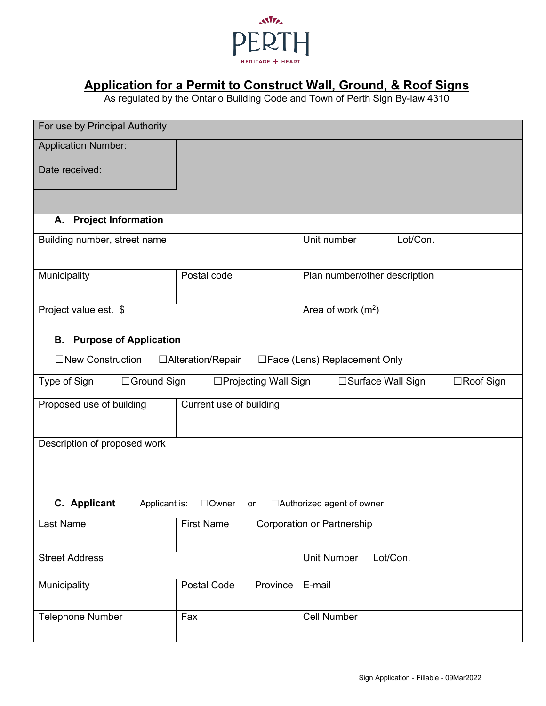

# **Application for a Permit to Construct Wall, Ground, & Roof Signs**

As regulated by the Ontario Building Code and Town of Perth Sign By-law 4310

| For use by Principal Authority                                                            |                          |          |                                   |          |  |  |
|-------------------------------------------------------------------------------------------|--------------------------|----------|-----------------------------------|----------|--|--|
| <b>Application Number:</b>                                                                |                          |          |                                   |          |  |  |
| Date received:                                                                            |                          |          |                                   |          |  |  |
|                                                                                           |                          |          |                                   |          |  |  |
| <b>Project Information</b><br>А.                                                          |                          |          |                                   |          |  |  |
|                                                                                           |                          |          |                                   |          |  |  |
| Building number, street name                                                              |                          |          | Unit number<br>Lot/Con.           |          |  |  |
| Municipality                                                                              | Postal code              |          | Plan number/other description     |          |  |  |
| Project value est. \$                                                                     |                          |          | Area of work $(m2)$               |          |  |  |
| <b>Purpose of Application</b><br>В.                                                       |                          |          |                                   |          |  |  |
| □New Construction                                                                         | $\Box$ Alteration/Repair |          | □Face (Lens) Replacement Only     |          |  |  |
| Type of Sign<br>□Ground Sign<br>□Projecting Wall Sign<br>□Surface Wall Sign<br>□Roof Sign |                          |          |                                   |          |  |  |
| Proposed use of building<br>Current use of building                                       |                          |          |                                   |          |  |  |
|                                                                                           |                          |          |                                   |          |  |  |
| Description of proposed work                                                              |                          |          |                                   |          |  |  |
|                                                                                           |                          |          |                                   |          |  |  |
|                                                                                           |                          |          |                                   |          |  |  |
| C. Applicant<br>Applicant is:<br>$\Box$ Owner<br>□ Authorized agent of owner<br>or        |                          |          |                                   |          |  |  |
| Last Name<br><b>First Name</b>                                                            |                          |          | <b>Corporation or Partnership</b> |          |  |  |
|                                                                                           |                          |          |                                   |          |  |  |
| <b>Street Address</b>                                                                     |                          |          | <b>Unit Number</b>                | Lot/Con. |  |  |
| Municipality                                                                              | Postal Code              | Province | E-mail                            |          |  |  |
| <b>Telephone Number</b>                                                                   | Fax                      |          | <b>Cell Number</b>                |          |  |  |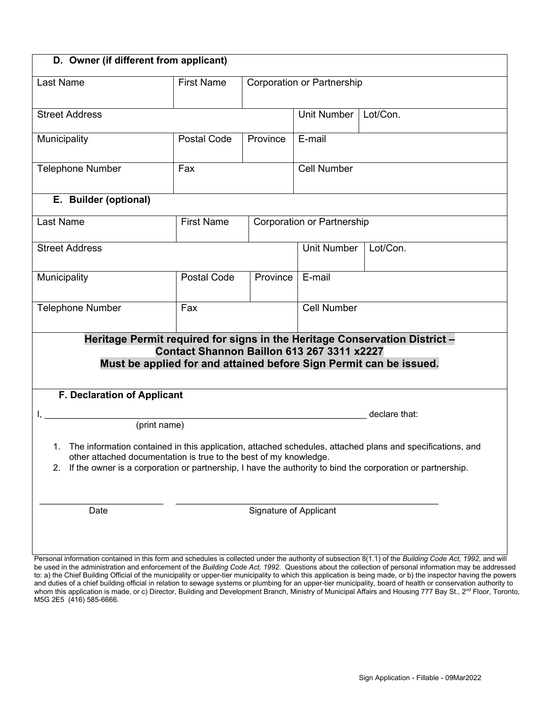| D. Owner (if different from applicant)                                                                                                                                                                                                                                                                |                             |                    |                                   |          |  |  |
|-------------------------------------------------------------------------------------------------------------------------------------------------------------------------------------------------------------------------------------------------------------------------------------------------------|-----------------------------|--------------------|-----------------------------------|----------|--|--|
| Last Name                                                                                                                                                                                                                                                                                             | <b>First Name</b>           |                    | <b>Corporation or Partnership</b> |          |  |  |
| <b>Street Address</b>                                                                                                                                                                                                                                                                                 |                             |                    | <b>Unit Number</b>                | Lot/Con. |  |  |
| Municipality                                                                                                                                                                                                                                                                                          | Postal Code                 | Province<br>E-mail |                                   |          |  |  |
| <b>Telephone Number</b>                                                                                                                                                                                                                                                                               | Fax                         |                    | <b>Cell Number</b>                |          |  |  |
| E. Builder (optional)                                                                                                                                                                                                                                                                                 |                             |                    |                                   |          |  |  |
| Last Name                                                                                                                                                                                                                                                                                             | <b>First Name</b>           |                    | <b>Corporation or Partnership</b> |          |  |  |
| <b>Street Address</b>                                                                                                                                                                                                                                                                                 |                             |                    | <b>Unit Number</b>                | Lot/Con. |  |  |
| Municipality                                                                                                                                                                                                                                                                                          | Postal Code                 | Province           | E-mail                            |          |  |  |
| <b>Telephone Number</b>                                                                                                                                                                                                                                                                               | Fax                         |                    | <b>Cell Number</b>                |          |  |  |
| Heritage Permit required for signs in the Heritage Conservation District -<br>Contact Shannon Baillon 613 267 3311 x2227<br>Must be applied for and attained before Sign Permit can be issued.                                                                                                        |                             |                    |                                   |          |  |  |
|                                                                                                                                                                                                                                                                                                       | F. Declaration of Applicant |                    |                                   |          |  |  |
| declare that:<br>(print name)                                                                                                                                                                                                                                                                         |                             |                    |                                   |          |  |  |
| 1. The information contained in this application, attached schedules, attached plans and specifications, and<br>other attached documentation is true to the best of my knowledge.<br>If the owner is a corporation or partnership, I have the authority to bind the corporation or partnership.<br>2. |                             |                    |                                   |          |  |  |
| Date                                                                                                                                                                                                                                                                                                  | Signature of Applicant      |                    |                                   |          |  |  |

 be used in the administration and enforcement of the *Building Code Act, 1992.* Questions about the collection of personal information may be addressed and duties of a chief building official in relation to sewage systems or plumbing for an upper-tier municipality, board of health or conservation authority to whom this application is made, or c) Director, Building and Development Branch, Ministry of Municipal Affairs and Housing 777 Bay St., 2<sup>nd</sup> Floor, Toronto, Personal information contained in this form and schedules is collected under the authority of subsection 8(1.1) of the *Building Code Act, 1992*, and will to: a) the Chief Building Official of the municipality or upper-tier municipality to which this application is being made, or b) the inspector having the powers M5G 2E5 (416) 585-6666.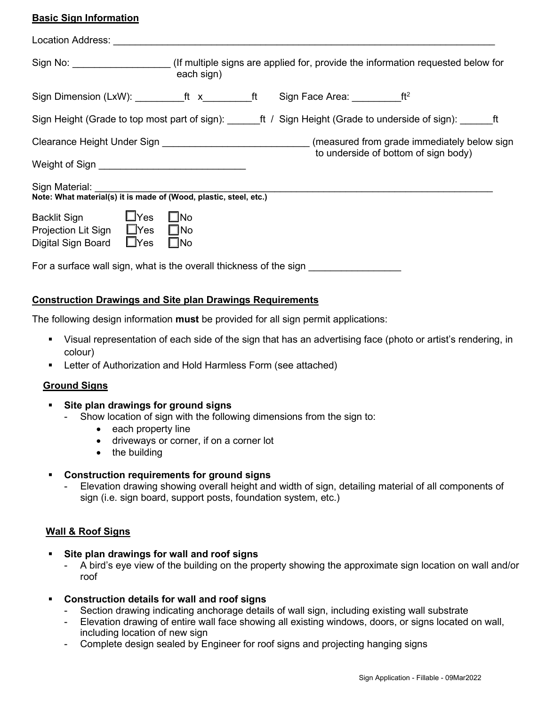## **Basic Sign Information**

| Sign No: ______________________(If multiple signs are applied for, provide the information requested below for                                              | each sign)                   |  |                                      |  |
|-------------------------------------------------------------------------------------------------------------------------------------------------------------|------------------------------|--|--------------------------------------|--|
| Sign Dimension (LxW): ___________ft x__________ft Sign Face Area: ___________ft <sup>2</sup>                                                                |                              |  |                                      |  |
| Sign Height (Grade to top most part of sign): _______ft / Sign Height (Grade to underside of sign): _______ft                                               |                              |  |                                      |  |
| Clearance Height Under Sign ________________________________(measured from grade immediately below sign<br>Weight of Sign _________________________________ |                              |  | to underside of bottom of sign body) |  |
| Sign Material: <b>Signal</b><br>Note: What material(s) it is made of (Wood, plastic, steel, etc.)                                                           |                              |  |                                      |  |
| <b>Backlit Sign</b><br>$\Box$ Yes<br>Projection Lit Sign □ Yes □ No<br>$\square$ Yes<br>Digital Sign Board                                                  | $\square$ No<br>$\square$ No |  |                                      |  |
| For a surface wall sign, what is the overall thickness of the sign                                                                                          |                              |  |                                      |  |

## **Construction Drawings and Site plan Drawings Requirements**

The following design information **must** be provided for all sign permit applications:

- Visual representation of each side of the sign that has an advertising face (photo or artist's rendering, in colour)
- Letter of Authorization and Hold Harmless Form (see attached)

#### **Ground Signs**

- **Site plan drawings for ground signs** 
	- - Show location of sign with the following dimensions from the sign to:
		- each property line
		- driveways or corner, if on a corner lot
		- the building
- **Construction requirements for ground signs** 
	- Elevation drawing showing overall height and width of sign, detailing material of all components of sign (i.e. sign board, support posts, foundation system, etc.)

### **Wall & Roof Signs**

- **Site plan drawings for wall and roof signs** 
	- A bird's eye view of the building on the property showing the approximate sign location on wall and/or roof
- **Construction details for wall and roof signs** 
	- Section drawing indicating anchorage details of wall sign, including existing wall substrate
	- Elevation drawing of entire wall face showing all existing windows, doors, or signs located on wall, including location of new sign
	- Complete design sealed by Engineer for roof signs and projecting hanging signs